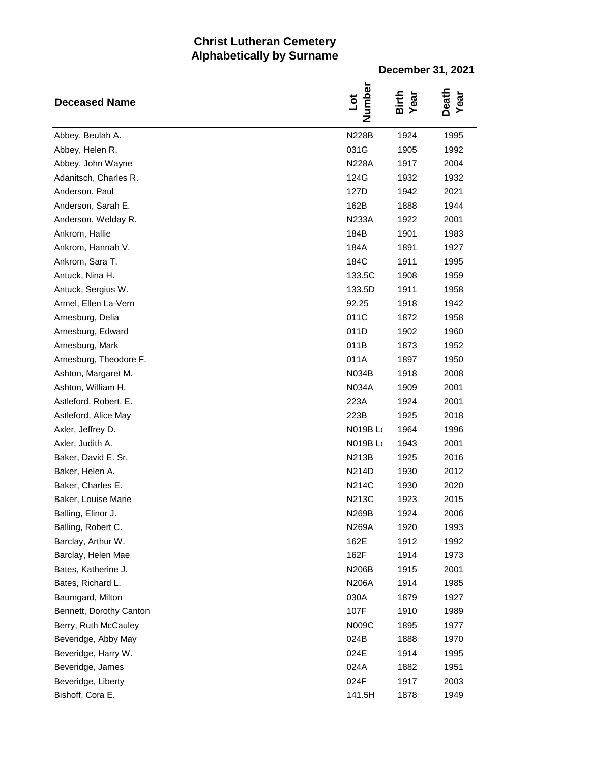## **Christ Lutheran Cemetery Alphabetically by Surname**

**December 31, 2021**

| <b>Deceased Name</b>    | Number<br>Lot   | Birth<br>Year | Death<br>Year |
|-------------------------|-----------------|---------------|---------------|
| Abbey, Beulah A.        | <b>N228B</b>    | 1924          | 1995          |
| Abbey, Helen R.         | 031G            | 1905          | 1992          |
| Abbey, John Wayne       | <b>N228A</b>    | 1917          | 2004          |
| Adanitsch, Charles R.   | 124G            | 1932          | 1932          |
| Anderson, Paul          | 127D            | 1942          | 2021          |
| Anderson, Sarah E.      | 162B            | 1888          | 1944          |
| Anderson, Welday R.     | <b>N233A</b>    | 1922          | 2001          |
| Ankrom, Hallie          | 184B            | 1901          | 1983          |
| Ankrom, Hannah V.       | 184A            | 1891          | 1927          |
| Ankrom, Sara T.         | 184C            | 1911          | 1995          |
| Antuck, Nina H.         | 133.5C          | 1908          | 1959          |
| Antuck, Sergius W.      | 133.5D          | 1911          | 1958          |
| Armel, Ellen La-Vern    | 92.25           | 1918          | 1942          |
| Arnesburg, Delia        | 011C            | 1872          | 1958          |
| Arnesburg, Edward       | 011D            | 1902          | 1960          |
| Arnesburg, Mark         | 011B            | 1873          | 1952          |
| Arnesburg, Theodore F.  | 011A            | 1897          | 1950          |
| Ashton, Margaret M.     | N034B           | 1918          | 2008          |
| Ashton, William H.      | <b>N034A</b>    | 1909          | 2001          |
| Astleford, Robert. E.   | 223A            | 1924          | 2001          |
| Astleford, Alice May    | 223B            | 1925          | 2018          |
| Axler, Jeffrey D.       | N019B Lo        | 1964          | 1996          |
| Axler, Judith A.        | <b>N019B Lc</b> | 1943          | 2001          |
| Baker, David E. Sr.     | <b>N213B</b>    | 1925          | 2016          |
| Baker, Helen A.         | N214D           | 1930          | 2012          |
| Baker, Charles E.       | N214C           | 1930          | 2020          |
| Baker, Louise Marie     | N213C           | 1923          | 2015          |
| Balling, Elinor J.      | N269B           | 1924          | 2006          |
| Balling, Robert C.      | N269A           | 1920          | 1993          |
| Barclay, Arthur W.      | 162E            | 1912          | 1992          |
| Barclay, Helen Mae      | 162F            | 1914          | 1973          |
| Bates, Katherine J.     | N206B           | 1915          | 2001          |
| Bates, Richard L.       | N206A           | 1914          | 1985          |
| Baumgard, Milton        | 030A            | 1879          | 1927          |
| Bennett, Dorothy Canton | 107F            | 1910          | 1989          |
| Berry, Ruth McCauley    | N009C           | 1895          | 1977          |
| Beveridge, Abby May     | 024B            | 1888          | 1970          |
| Beveridge, Harry W.     | 024E            | 1914          | 1995          |
| Beveridge, James        | 024A            | 1882          | 1951          |
| Beveridge, Liberty      | 024F            | 1917          | 2003          |
| Bishoff, Cora E.        | 141.5H          | 1878          | 1949          |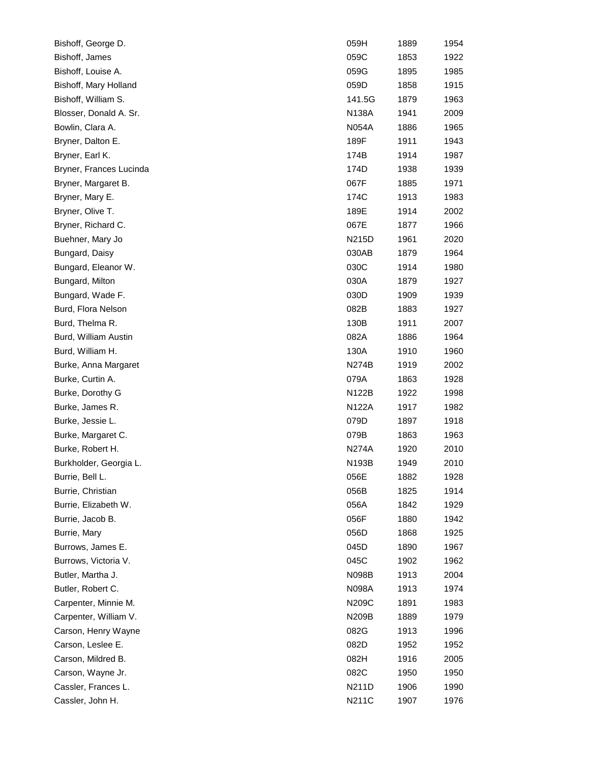| Bishoff, George D.      | 059H         | 1889 | 1954 |
|-------------------------|--------------|------|------|
| Bishoff, James          | 059C         | 1853 | 1922 |
| Bishoff, Louise A.      | 059G         | 1895 | 1985 |
| Bishoff, Mary Holland   | 059D         | 1858 | 1915 |
| Bishoff, William S.     | 141.5G       | 1879 | 1963 |
| Blosser, Donald A. Sr.  | N138A        | 1941 | 2009 |
| Bowlin, Clara A.        | N054A        | 1886 | 1965 |
| Bryner, Dalton E.       | 189F         | 1911 | 1943 |
| Bryner, Earl K.         | 174B         | 1914 | 1987 |
| Bryner, Frances Lucinda | 174D         | 1938 | 1939 |
| Bryner, Margaret B.     | 067F         | 1885 | 1971 |
| Bryner, Mary E.         | 174C         | 1913 | 1983 |
| Bryner, Olive T.        | 189E         | 1914 | 2002 |
| Bryner, Richard C.      | 067E         | 1877 | 1966 |
| Buehner, Mary Jo        | <b>N215D</b> | 1961 | 2020 |
| Bungard, Daisy          | 030AB        | 1879 | 1964 |
| Bungard, Eleanor W.     | 030C         | 1914 | 1980 |
| Bungard, Milton         | 030A         | 1879 | 1927 |
| Bungard, Wade F.        | 030D         | 1909 | 1939 |
| Burd, Flora Nelson      | 082B         | 1883 | 1927 |
| Burd, Thelma R.         | 130B         | 1911 | 2007 |
| Burd, William Austin    | 082A         | 1886 | 1964 |
| Burd, William H.        | 130A         | 1910 | 1960 |
| Burke, Anna Margaret    | <b>N274B</b> | 1919 | 2002 |
| Burke, Curtin A.        | 079A         | 1863 | 1928 |
| Burke, Dorothy G        | N122B        | 1922 | 1998 |
| Burke, James R.         | N122A        | 1917 | 1982 |
| Burke, Jessie L.        | 079D         | 1897 | 1918 |
| Burke, Margaret C.      | 079B         | 1863 | 1963 |
| Burke, Robert H.        | N274A        | 1920 | 2010 |
| Burkholder, Georgia L.  | N193B        | 1949 | 2010 |
| Burrie, Bell L.         | 056E         | 1882 | 1928 |
| Burrie, Christian       | 056B         | 1825 | 1914 |
| Burrie, Elizabeth W.    | 056A         | 1842 | 1929 |
| Burrie, Jacob B.        | 056F         | 1880 | 1942 |
| Burrie, Mary            | 056D         | 1868 | 1925 |
| Burrows, James E.       | 045D         | 1890 | 1967 |
| Burrows, Victoria V.    | 045C         | 1902 | 1962 |
| Butler, Martha J.       | N098B        | 1913 | 2004 |
| Butler, Robert C.       | N098A        | 1913 | 1974 |
| Carpenter, Minnie M.    | N209C        | 1891 | 1983 |
| Carpenter, William V.   | N209B        | 1889 | 1979 |
| Carson, Henry Wayne     | 082G         | 1913 | 1996 |
| Carson, Leslee E.       | 082D         | 1952 | 1952 |
| Carson, Mildred B.      | 082H         | 1916 | 2005 |
| Carson, Wayne Jr.       | 082C         | 1950 | 1950 |
| Cassler, Frances L.     | N211D        | 1906 | 1990 |
| Cassler, John H.        | N211C        | 1907 | 1976 |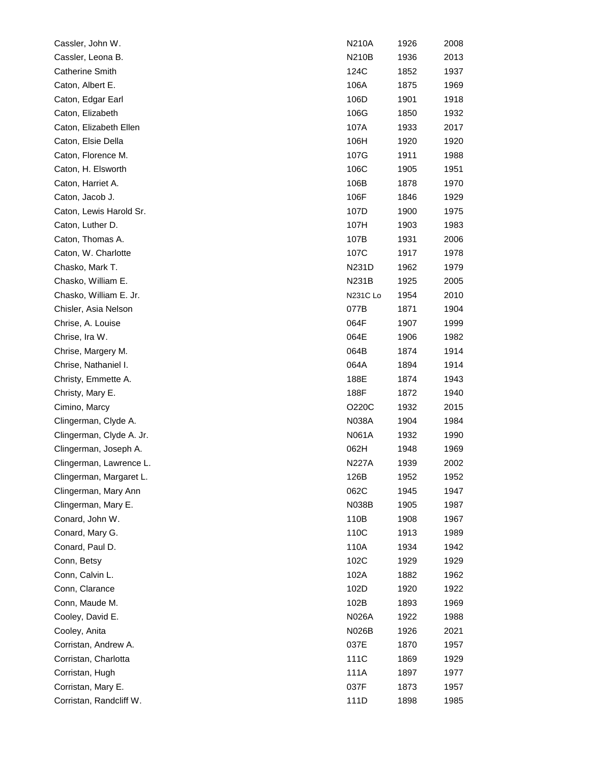| Cassler, John W.         | N210A           | 1926 | 2008 |
|--------------------------|-----------------|------|------|
| Cassler, Leona B.        | <b>N210B</b>    | 1936 | 2013 |
| <b>Catherine Smith</b>   | 124C            | 1852 | 1937 |
| Caton, Albert E.         | 106A            | 1875 | 1969 |
| Caton, Edgar Earl        | 106D            | 1901 | 1918 |
| Caton, Elizabeth         | 106G            | 1850 | 1932 |
| Caton, Elizabeth Ellen   | 107A            | 1933 | 2017 |
| Caton, Elsie Della       | 106H            | 1920 | 1920 |
| Caton, Florence M.       | 107G            | 1911 | 1988 |
| Caton, H. Elsworth       | 106C            | 1905 | 1951 |
| Caton, Harriet A.        | 106B            | 1878 | 1970 |
| Caton, Jacob J.          | 106F            | 1846 | 1929 |
| Caton, Lewis Harold Sr.  | 107D            | 1900 | 1975 |
| Caton, Luther D.         | 107H            | 1903 | 1983 |
| Caton, Thomas A.         | 107B            | 1931 | 2006 |
| Caton, W. Charlotte      | 107C            | 1917 | 1978 |
| Chasko, Mark T.          | N231D           | 1962 | 1979 |
| Chasko, William E.       | N231B           | 1925 | 2005 |
| Chasko, William E. Jr.   | <b>N231C Lo</b> | 1954 | 2010 |
| Chisler, Asia Nelson     | 077B            | 1871 | 1904 |
| Chrise, A. Louise        | 064F            | 1907 | 1999 |
| Chrise, Ira W.           | 064E            | 1906 | 1982 |
| Chrise, Margery M.       | 064B            | 1874 | 1914 |
| Chrise, Nathaniel I.     | 064A            | 1894 | 1914 |
| Christy, Emmette A.      | 188E            | 1874 | 1943 |
| Christy, Mary E.         | 188F            | 1872 | 1940 |
| Cimino, Marcy            | O220C           | 1932 | 2015 |
| Clingerman, Clyde A.     | N038A           | 1904 | 1984 |
| Clingerman, Clyde A. Jr. | N061A           | 1932 | 1990 |
| Clingerman, Joseph A.    | 062H            | 1948 | 1969 |
| Clingerman, Lawrence L.  | N227A           | 1939 | 2002 |
| Clingerman, Margaret L.  | 126B            | 1952 | 1952 |
| Clingerman, Mary Ann     | 062C            | 1945 | 1947 |
| Clingerman, Mary E.      | <b>N038B</b>    | 1905 | 1987 |
| Conard, John W.          | 110B            | 1908 | 1967 |
| Conard, Mary G.          | 110C            | 1913 | 1989 |
| Conard, Paul D.          | 110A            | 1934 | 1942 |
| Conn, Betsy              | 102C            | 1929 | 1929 |
| Conn, Calvin L.          | 102A            | 1882 | 1962 |
| Conn, Clarance           | 102D            | 1920 | 1922 |
| Conn, Maude M.           | 102B            | 1893 | 1969 |
| Cooley, David E.         | N026A           | 1922 | 1988 |
| Cooley, Anita            | N026B           | 1926 | 2021 |
| Corristan, Andrew A.     | 037E            | 1870 | 1957 |
| Corristan, Charlotta     | 111C            | 1869 | 1929 |
| Corristan, Hugh          | 111A            | 1897 | 1977 |
| Corristan, Mary E.       | 037F            | 1873 | 1957 |
| Corristan, Randcliff W.  | 111D            | 1898 | 1985 |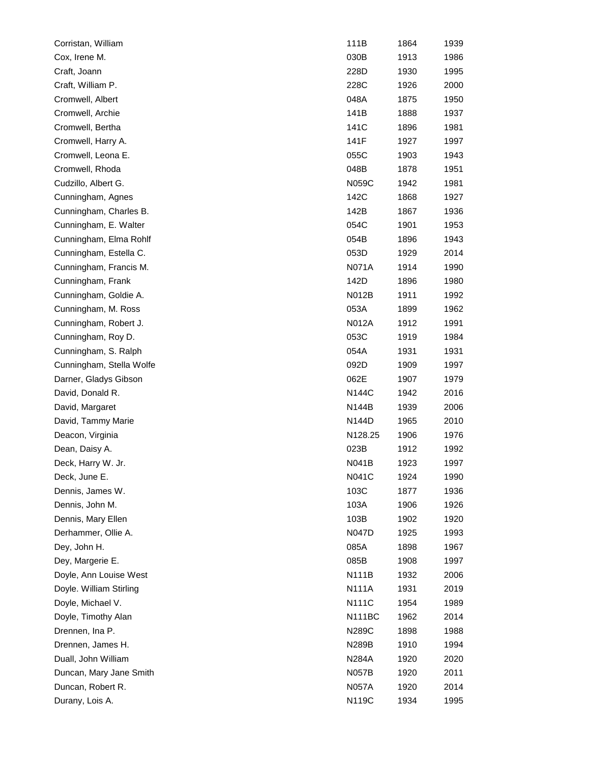| Corristan, William       | 111B          | 1864 | 1939 |
|--------------------------|---------------|------|------|
| Cox, Irene M.            | 030B          | 1913 | 1986 |
| Craft, Joann             | 228D          | 1930 | 1995 |
| Craft, William P.        | 228C          | 1926 | 2000 |
| Cromwell, Albert         | 048A          | 1875 | 1950 |
| Cromwell, Archie         | 141B          | 1888 | 1937 |
| Cromwell, Bertha         | 141C          | 1896 | 1981 |
| Cromwell, Harry A.       | 141F          | 1927 | 1997 |
| Cromwell, Leona E.       | 055C          | 1903 | 1943 |
| Cromwell, Rhoda          | 048B          | 1878 | 1951 |
| Cudzillo, Albert G.      | N059C         | 1942 | 1981 |
| Cunningham, Agnes        | 142C          | 1868 | 1927 |
| Cunningham, Charles B.   | 142B          | 1867 | 1936 |
| Cunningham, E. Walter    | 054C          | 1901 | 1953 |
| Cunningham, Elma Rohlf   | 054B          | 1896 | 1943 |
| Cunningham, Estella C.   | 053D          | 1929 | 2014 |
| Cunningham, Francis M.   | <b>N071A</b>  | 1914 | 1990 |
| Cunningham, Frank        | 142D          | 1896 | 1980 |
| Cunningham, Goldie A.    | N012B         | 1911 | 1992 |
| Cunningham, M. Ross      | 053A          | 1899 | 1962 |
| Cunningham, Robert J.    | <b>N012A</b>  | 1912 | 1991 |
| Cunningham, Roy D.       | 053C          | 1919 | 1984 |
| Cunningham, S. Ralph     | 054A          | 1931 | 1931 |
| Cunningham, Stella Wolfe | 092D          | 1909 | 1997 |
| Darner, Gladys Gibson    | 062E          | 1907 | 1979 |
| David, Donald R.         | N144C         | 1942 | 2016 |
| David, Margaret          | N144B         | 1939 | 2006 |
| David, Tammy Marie       | <b>N144D</b>  | 1965 | 2010 |
| Deacon, Virginia         | N128.25       | 1906 | 1976 |
| Dean, Daisy A.           | 023B          | 1912 | 1992 |
| Deck, Harry W. Jr.       | N041B         | 1923 | 1997 |
| Deck, June E.            | <b>N041C</b>  | 1924 | 1990 |
| Dennis, James W.         | 103C          | 1877 | 1936 |
| Dennis, John M.          | 103A          | 1906 | 1926 |
| Dennis, Mary Ellen       | 103B          | 1902 | 1920 |
| Derhammer, Ollie A.      | <b>N047D</b>  | 1925 | 1993 |
| Dey, John H.             | 085A          | 1898 | 1967 |
| Dey, Margerie E.         | 085B          | 1908 | 1997 |
| Doyle, Ann Louise West   | N111B         | 1932 | 2006 |
| Doyle. William Stirling  | <b>N111A</b>  | 1931 | 2019 |
| Doyle, Michael V.        | N111C         | 1954 | 1989 |
| Doyle, Timothy Alan      | <b>N111BC</b> | 1962 | 2014 |
| Drennen, Ina P.          | N289C         | 1898 | 1988 |
| Drennen, James H.        | N289B         | 1910 | 1994 |
| Duall, John William      | N284A         | 1920 | 2020 |
| Duncan, Mary Jane Smith  | N057B         | 1920 | 2011 |
| Duncan, Robert R.        | <b>N057A</b>  | 1920 | 2014 |
| Durany, Lois A.          | N119C         | 1934 | 1995 |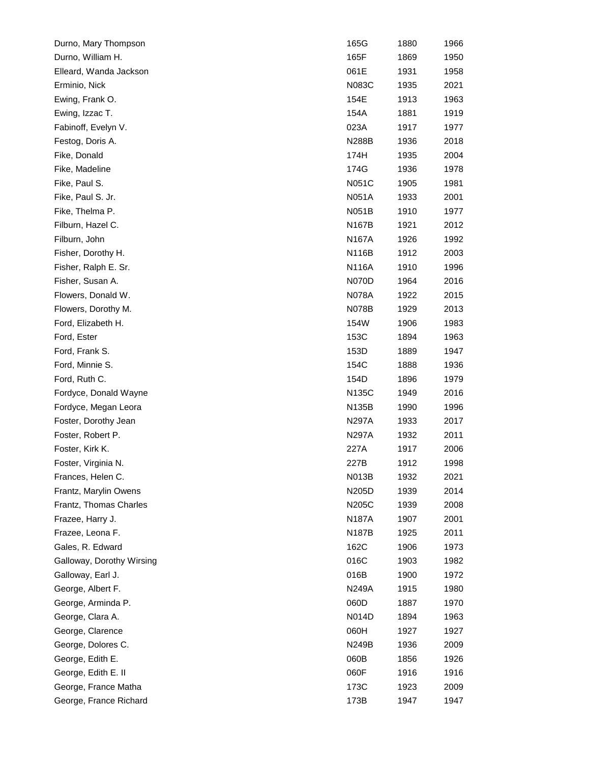| Durno, Mary Thompson      | 165G         | 1880 | 1966 |
|---------------------------|--------------|------|------|
| Durno, William H.         | 165F         | 1869 | 1950 |
| Elleard, Wanda Jackson    | 061E         | 1931 | 1958 |
| Erminio, Nick             | N083C        | 1935 | 2021 |
| Ewing, Frank O.           | 154E         | 1913 | 1963 |
| Ewing, Izzac T.           | 154A         | 1881 | 1919 |
| Fabinoff, Evelyn V.       | 023A         | 1917 | 1977 |
| Festog, Doris A.          | <b>N288B</b> | 1936 | 2018 |
| Fike, Donald              | 174H         | 1935 | 2004 |
| Fike, Madeline            | 174G         | 1936 | 1978 |
| Fike, Paul S.             | N051C        | 1905 | 1981 |
| Fike, Paul S. Jr.         | N051A        | 1933 | 2001 |
| Fike, Thelma P.           | N051B        | 1910 | 1977 |
| Filburn, Hazel C.         | N167B        | 1921 | 2012 |
| Filburn, John             | <b>N167A</b> | 1926 | 1992 |
| Fisher, Dorothy H.        | N116B        | 1912 | 2003 |
| Fisher, Ralph E. Sr.      | N116A        | 1910 | 1996 |
| Fisher, Susan A.          | <b>N070D</b> | 1964 | 2016 |
| Flowers, Donald W.        | N078A        | 1922 | 2015 |
| Flowers, Dorothy M.       | N078B        | 1929 | 2013 |
| Ford, Elizabeth H.        | 154W         | 1906 | 1983 |
| Ford, Ester               | 153C         | 1894 | 1963 |
| Ford, Frank S.            | 153D         | 1889 | 1947 |
| Ford, Minnie S.           | 154C         | 1888 | 1936 |
| Ford, Ruth C.             | 154D         | 1896 | 1979 |
| Fordyce, Donald Wayne     | N135C        | 1949 | 2016 |
| Fordyce, Megan Leora      | N135B        | 1990 | 1996 |
| Foster, Dorothy Jean      | N297A        | 1933 | 2017 |
| Foster, Robert P.         | N297A        | 1932 | 2011 |
| Foster, Kirk K.           | 227A         | 1917 | 2006 |
| Foster, Virginia N.       | 227B         | 1912 | 1998 |
| Frances, Helen C.         | N013B        | 1932 | 2021 |
| Frantz, Marylin Owens     | N205D        | 1939 | 2014 |
| Frantz, Thomas Charles    | N205C        | 1939 | 2008 |
| Frazee, Harry J.          | N187A        | 1907 | 2001 |
| Frazee, Leona F.          | <b>N187B</b> | 1925 | 2011 |
| Gales, R. Edward          | 162C         | 1906 | 1973 |
| Galloway, Dorothy Wirsing | 016C         | 1903 | 1982 |
| Galloway, Earl J.         | 016B         | 1900 | 1972 |
| George, Albert F.         | <b>N249A</b> | 1915 | 1980 |
| George, Arminda P.        | 060D         | 1887 | 1970 |
| George, Clara A.          | N014D        | 1894 | 1963 |
| George, Clarence          | 060H         | 1927 | 1927 |
| George, Dolores C.        | <b>N249B</b> | 1936 | 2009 |
| George, Edith E.          | 060B         | 1856 | 1926 |
| George, Edith E. II       | 060F         | 1916 | 1916 |
| George, France Matha      | 173C         | 1923 | 2009 |
| George, France Richard    | 173B         | 1947 | 1947 |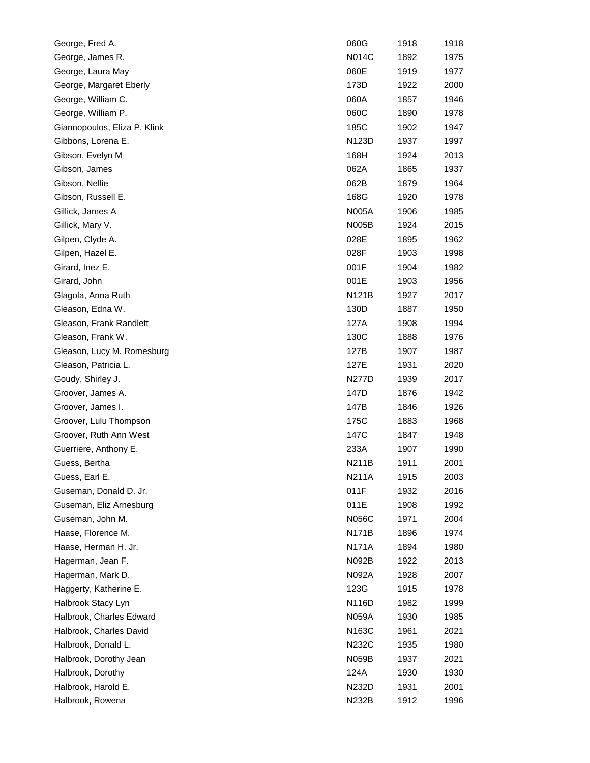| George, Fred A.              | 060G         | 1918 | 1918 |
|------------------------------|--------------|------|------|
| George, James R.             | <b>N014C</b> | 1892 | 1975 |
| George, Laura May            | 060E         | 1919 | 1977 |
| George, Margaret Eberly      | 173D         | 1922 | 2000 |
| George, William C.           | 060A         | 1857 | 1946 |
| George, William P.           | 060C         | 1890 | 1978 |
| Giannopoulos, Eliza P. Klink | 185C         | 1902 | 1947 |
| Gibbons, Lorena E.           | N123D        | 1937 | 1997 |
| Gibson, Evelyn M             | 168H         | 1924 | 2013 |
| Gibson, James                | 062A         | 1865 | 1937 |
| Gibson, Nellie               | 062B         | 1879 | 1964 |
| Gibson, Russell E.           | 168G         | 1920 | 1978 |
| Gillick, James A             | <b>N005A</b> | 1906 | 1985 |
| Gillick, Mary V.             | <b>N005B</b> | 1924 | 2015 |
| Gilpen, Clyde A.             | 028E         | 1895 | 1962 |
| Gilpen, Hazel E.             | 028F         | 1903 | 1998 |
| Girard, Inez E.              | 001F         | 1904 | 1982 |
| Girard, John                 | 001E         | 1903 | 1956 |
| Glagola, Anna Ruth           | <b>N121B</b> | 1927 | 2017 |
| Gleason, Edna W.             | 130D         | 1887 | 1950 |
| Gleason, Frank Randlett      | 127A         | 1908 | 1994 |
| Gleason, Frank W.            | 130C         | 1888 | 1976 |
| Gleason, Lucy M. Romesburg   | 127B         | 1907 | 1987 |
| Gleason, Patricia L.         | 127E         | 1931 | 2020 |
| Goudy, Shirley J.            | N277D        | 1939 | 2017 |
| Groover, James A.            | 147D         | 1876 | 1942 |
| Groover, James I.            | 147B         | 1846 | 1926 |
| Groover, Lulu Thompson       | 175C         | 1883 | 1968 |
| Groover, Ruth Ann West       | 147C         | 1847 | 1948 |
| Guerriere, Anthony E.        | 233A         | 1907 | 1990 |
| Guess, Bertha                | N211B        | 1911 | 2001 |
| Guess, Earl E.               | N211A        | 1915 | 2003 |
| Guseman, Donald D. Jr.       | 011F         | 1932 | 2016 |
| Guseman, Eliz Arnesburg      | 011E         | 1908 | 1992 |
| Guseman, John M.             | <b>N056C</b> | 1971 | 2004 |
| Haase, Florence M.           | N171B        | 1896 | 1974 |
| Haase, Herman H. Jr.         | <b>N171A</b> | 1894 | 1980 |
| Hagerman, Jean F.            | N092B        | 1922 | 2013 |
| Hagerman, Mark D.            | N092A        | 1928 | 2007 |
| Haggerty, Katherine E.       | 123G         | 1915 | 1978 |
| Halbrook Stacy Lyn           | N116D        | 1982 | 1999 |
| Halbrook, Charles Edward     | N059A        | 1930 | 1985 |
| Halbrook, Charles David      | N163C        | 1961 | 2021 |
| Halbrook, Donald L.          | N232C        | 1935 | 1980 |
| Halbrook, Dorothy Jean       | N059B        | 1937 | 2021 |
| Halbrook, Dorothy            | 124A         | 1930 | 1930 |
| Halbrook, Harold E.          | N232D        | 1931 | 2001 |
| Halbrook, Rowena             | N232B        | 1912 | 1996 |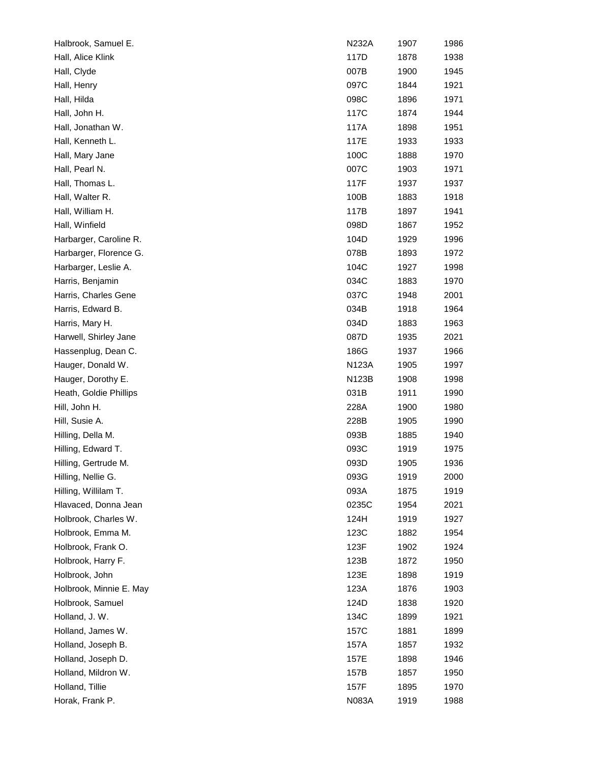| Halbrook, Samuel E.     | N232A | 1907 | 1986 |
|-------------------------|-------|------|------|
| Hall, Alice Klink       | 117D  | 1878 | 1938 |
| Hall, Clyde             | 007B  | 1900 | 1945 |
| Hall, Henry             | 097C  | 1844 | 1921 |
| Hall, Hilda             | 098C  | 1896 | 1971 |
| Hall, John H.           | 117C  | 1874 | 1944 |
| Hall, Jonathan W.       | 117A  | 1898 | 1951 |
| Hall, Kenneth L.        | 117E  | 1933 | 1933 |
| Hall, Mary Jane         | 100C  | 1888 | 1970 |
| Hall, Pearl N.          | 007C  | 1903 | 1971 |
| Hall, Thomas L.         | 117F  | 1937 | 1937 |
| Hall, Walter R.         | 100B  | 1883 | 1918 |
| Hall, William H.        | 117B  | 1897 | 1941 |
| Hall, Winfield          | 098D  | 1867 | 1952 |
| Harbarger, Caroline R.  | 104D  | 1929 | 1996 |
| Harbarger, Florence G.  | 078B  | 1893 | 1972 |
| Harbarger, Leslie A.    | 104C  | 1927 | 1998 |
| Harris, Benjamin        | 034C  | 1883 | 1970 |
| Harris, Charles Gene    | 037C  | 1948 | 2001 |
| Harris, Edward B.       | 034B  | 1918 | 1964 |
| Harris, Mary H.         | 034D  | 1883 | 1963 |
| Harwell, Shirley Jane   | 087D  | 1935 | 2021 |
| Hassenplug, Dean C.     | 186G  | 1937 | 1966 |
| Hauger, Donald W.       | N123A | 1905 | 1997 |
| Hauger, Dorothy E.      | N123B | 1908 | 1998 |
| Heath, Goldie Phillips  | 031B  | 1911 | 1990 |
| Hill, John H.           | 228A  | 1900 | 1980 |
| Hill, Susie A.          | 228B  | 1905 | 1990 |
| Hilling, Della M.       | 093B  | 1885 | 1940 |
| Hilling, Edward T.      | 093C  | 1919 | 1975 |
| Hilling, Gertrude M.    | 093D  | 1905 | 1936 |
| Hilling, Nellie G.      | 093G  | 1919 | 2000 |
| Hilling, Willilam T.    | 093A  | 1875 | 1919 |
| Hlavaced, Donna Jean    | 0235C | 1954 | 2021 |
| Holbrook, Charles W.    | 124H  | 1919 | 1927 |
| Holbrook, Emma M.       | 123C  | 1882 | 1954 |
| Holbrook, Frank O.      | 123F  | 1902 | 1924 |
| Holbrook, Harry F.      | 123B  | 1872 | 1950 |
| Holbrook, John          | 123E  | 1898 | 1919 |
| Holbrook, Minnie E. May | 123A  | 1876 | 1903 |
| Holbrook, Samuel        | 124D  | 1838 | 1920 |
| Holland, J. W.          | 134C  | 1899 | 1921 |
| Holland, James W.       | 157C  | 1881 | 1899 |
| Holland, Joseph B.      | 157A  | 1857 | 1932 |
| Holland, Joseph D.      | 157E  | 1898 | 1946 |
| Holland, Mildron W.     | 157B  | 1857 | 1950 |
| Holland, Tillie         | 157F  | 1895 | 1970 |
| Horak, Frank P.         | N083A | 1919 | 1988 |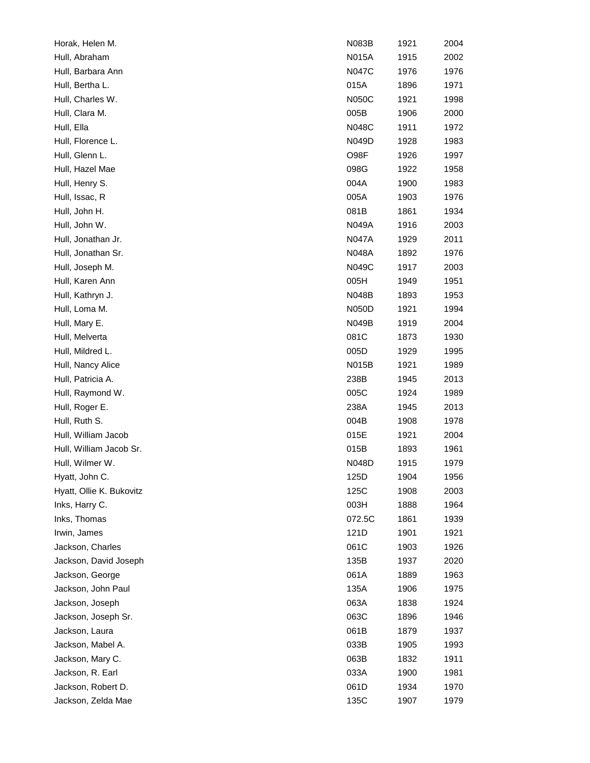| Horak, Helen M.          | N083B        | 1921 | 2004 |
|--------------------------|--------------|------|------|
| Hull, Abraham            | N015A        | 1915 | 2002 |
| Hull, Barbara Ann        | N047C        | 1976 | 1976 |
| Hull, Bertha L.          | 015A         | 1896 | 1971 |
| Hull, Charles W.         | N050C        | 1921 | 1998 |
| Hull, Clara M.           | 005B         | 1906 | 2000 |
| Hull, Ella               | N048C        | 1911 | 1972 |
| Hull, Florence L.        | N049D        | 1928 | 1983 |
| Hull, Glenn L.           | O98F         | 1926 | 1997 |
| Hull, Hazel Mae          | 098G         | 1922 | 1958 |
| Hull, Henry S.           | 004A         | 1900 | 1983 |
| Hull, Issac, R           | 005A         | 1903 | 1976 |
| Hull, John H.            | 081B         | 1861 | 1934 |
| Hull, John W.            | N049A        | 1916 | 2003 |
| Hull, Jonathan Jr.       | N047A        | 1929 | 2011 |
| Hull, Jonathan Sr.       | N048A        | 1892 | 1976 |
| Hull, Joseph M.          | N049C        | 1917 | 2003 |
| Hull, Karen Ann          | 005H         | 1949 | 1951 |
| Hull, Kathryn J.         | <b>N048B</b> | 1893 | 1953 |
| Hull, Loma M.            | N050D        | 1921 | 1994 |
| Hull, Mary E.            | N049B        | 1919 | 2004 |
| Hull, Melverta           | 081C         | 1873 | 1930 |
| Hull, Mildred L.         | 005D         | 1929 | 1995 |
| Hull, Nancy Alice        | N015B        | 1921 | 1989 |
| Hull, Patricia A.        | 238B         | 1945 | 2013 |
| Hull, Raymond W.         | 005C         | 1924 | 1989 |
| Hull, Roger E.           | 238A         | 1945 | 2013 |
| Hull, Ruth S.            | 004B         | 1908 | 1978 |
| Hull, William Jacob      | 015E         | 1921 | 2004 |
| Hull, William Jacob Sr.  | 015B         | 1893 | 1961 |
| Hull, Wilmer W.          | N048D        | 1915 | 1979 |
| Hyatt, John C.           | 125D         | 1904 | 1956 |
| Hyatt, Ollie K. Bukovitz | 125C         | 1908 | 2003 |
| Inks, Harry C.           | 003H         | 1888 | 1964 |
| Inks, Thomas             | 072.5C       | 1861 | 1939 |
| Irwin, James             | 121D         | 1901 | 1921 |
| Jackson, Charles         | 061C         | 1903 | 1926 |
| Jackson, David Joseph    | 135B         | 1937 | 2020 |
| Jackson, George          | 061A         | 1889 | 1963 |
| Jackson, John Paul       | 135A         | 1906 | 1975 |
| Jackson, Joseph          | 063A         | 1838 | 1924 |
| Jackson, Joseph Sr.      | 063C         | 1896 | 1946 |
| Jackson, Laura           | 061B         | 1879 | 1937 |
| Jackson, Mabel A.        | 033B         | 1905 | 1993 |
| Jackson, Mary C.         | 063B         | 1832 | 1911 |
| Jackson, R. Earl         | 033A         | 1900 | 1981 |
| Jackson, Robert D.       | 061D         | 1934 | 1970 |
| Jackson, Zelda Mae       | 135C         | 1907 | 1979 |
|                          |              |      |      |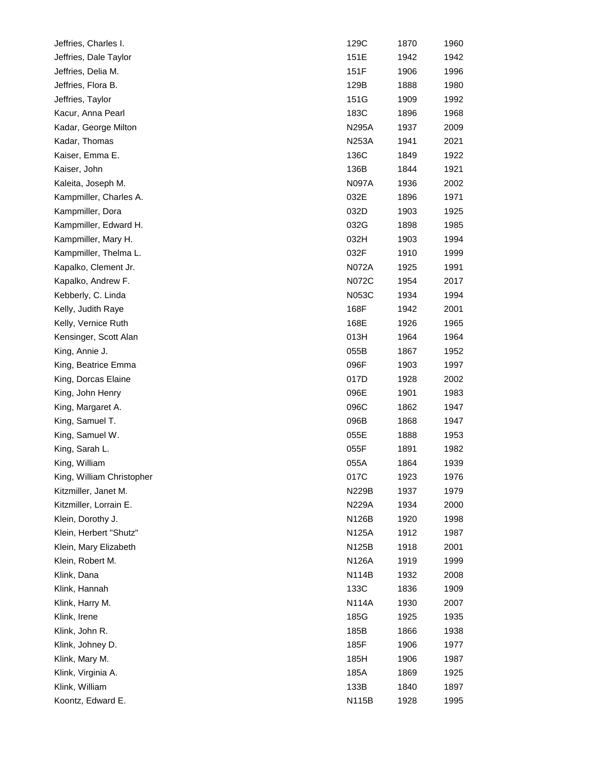| Jeffries, Charles I.      | 129C         | 1870 | 1960 |
|---------------------------|--------------|------|------|
| Jeffries, Dale Taylor     | 151E         | 1942 | 1942 |
| Jeffries, Delia M.        | 151F         | 1906 | 1996 |
| Jeffries, Flora B.        | 129B         | 1888 | 1980 |
| Jeffries, Taylor          | 151G         | 1909 | 1992 |
| Kacur, Anna Pearl         | 183C         | 1896 | 1968 |
| Kadar, George Milton      | <b>N295A</b> | 1937 | 2009 |
| Kadar, Thomas             | <b>N253A</b> | 1941 | 2021 |
| Kaiser, Emma E.           | 136C         | 1849 | 1922 |
| Kaiser, John              | 136B         | 1844 | 1921 |
| Kaleita, Joseph M.        | <b>N097A</b> | 1936 | 2002 |
| Kampmiller, Charles A.    | 032E         | 1896 | 1971 |
| Kampmiller, Dora          | 032D         | 1903 | 1925 |
| Kampmiller, Edward H.     | 032G         | 1898 | 1985 |
| Kampmiller, Mary H.       | 032H         | 1903 | 1994 |
| Kampmiller, Thelma L.     | 032F         | 1910 | 1999 |
| Kapalko, Clement Jr.      | <b>N072A</b> | 1925 | 1991 |
| Kapalko, Andrew F.        | N072C        | 1954 | 2017 |
| Kebberly, C. Linda        | N053C        | 1934 | 1994 |
| Kelly, Judith Raye        | 168F         | 1942 | 2001 |
| Kelly, Vernice Ruth       | 168E         | 1926 | 1965 |
| Kensinger, Scott Alan     | 013H         | 1964 | 1964 |
| King, Annie J.            | 055B         | 1867 | 1952 |
| King, Beatrice Emma       | 096F         | 1903 | 1997 |
| King, Dorcas Elaine       | 017D         | 1928 | 2002 |
| King, John Henry          | 096E         | 1901 | 1983 |
| King, Margaret A.         | 096C         | 1862 | 1947 |
| King, Samuel T.           | 096B         | 1868 | 1947 |
| King, Samuel W.           | 055E         | 1888 | 1953 |
| King, Sarah L.            | 055F         | 1891 | 1982 |
| King, William             | 055A         | 1864 | 1939 |
| King, William Christopher | 017C         | 1923 | 1976 |
| Kitzmiller, Janet M.      | N229B        | 1937 | 1979 |
| Kitzmiller, Lorrain E.    | <b>N229A</b> | 1934 | 2000 |
| Klein, Dorothy J.         | N126B        | 1920 | 1998 |
| Klein, Herbert "Shutz"    | N125A        | 1912 | 1987 |
| Klein, Mary Elizabeth     | N125B        | 1918 | 2001 |
| Klein, Robert M.          | N126A        | 1919 | 1999 |
| Klink, Dana               | <b>N114B</b> | 1932 | 2008 |
| Klink, Hannah             | 133C         | 1836 | 1909 |
| Klink, Harry M.           | N114A        | 1930 | 2007 |
| Klink, Irene              | 185G         | 1925 | 1935 |
| Klink, John R.            | 185B         | 1866 | 1938 |
| Klink, Johney D.          | 185F         | 1906 | 1977 |
| Klink, Mary M.            | 185H         | 1906 | 1987 |
| Klink, Virginia A.        | 185A         | 1869 | 1925 |
| Klink, William            | 133B         | 1840 | 1897 |
| Koontz, Edward E.         | N115B        | 1928 | 1995 |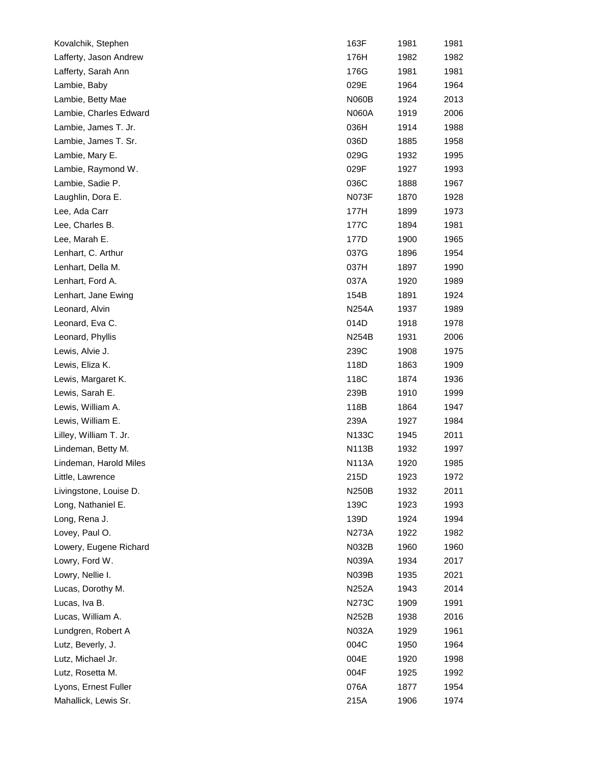| Kovalchik, Stephen     | 163F         | 1981 | 1981 |
|------------------------|--------------|------|------|
| Lafferty, Jason Andrew | 176H         | 1982 | 1982 |
| Lafferty, Sarah Ann    | 176G         | 1981 | 1981 |
| Lambie, Baby           | 029E         | 1964 | 1964 |
| Lambie, Betty Mae      | <b>N060B</b> | 1924 | 2013 |
| Lambie, Charles Edward | N060A        | 1919 | 2006 |
| Lambie, James T. Jr.   | 036H         | 1914 | 1988 |
| Lambie, James T. Sr.   | 036D         | 1885 | 1958 |
| Lambie, Mary E.        | 029G         | 1932 | 1995 |
| Lambie, Raymond W.     | 029F         | 1927 | 1993 |
| Lambie, Sadie P.       | 036C         | 1888 | 1967 |
| Laughlin, Dora E.      | N073F        | 1870 | 1928 |
| Lee, Ada Carr          | 177H         | 1899 | 1973 |
| Lee, Charles B.        | 177C         | 1894 | 1981 |
| Lee, Marah E.          | 177D         | 1900 | 1965 |
| Lenhart, C. Arthur     | 037G         | 1896 | 1954 |
| Lenhart, Della M.      | 037H         | 1897 | 1990 |
| Lenhart, Ford A.       | 037A         | 1920 | 1989 |
| Lenhart, Jane Ewing    | 154B         | 1891 | 1924 |
| Leonard, Alvin         | <b>N254A</b> | 1937 | 1989 |
| Leonard, Eva C.        | 014D         | 1918 | 1978 |
| Leonard, Phyllis       | <b>N254B</b> | 1931 | 2006 |
| Lewis, Alvie J.        | 239C         | 1908 | 1975 |
| Lewis, Eliza K.        | 118D         | 1863 | 1909 |
| Lewis, Margaret K.     | 118C         | 1874 | 1936 |
| Lewis, Sarah E.        | 239B         | 1910 | 1999 |
| Lewis, William A.      | 118B         | 1864 | 1947 |
| Lewis, William E.      | 239A         | 1927 | 1984 |
| Lilley, William T. Jr. | <b>N133C</b> | 1945 | 2011 |
| Lindeman, Betty M.     | N113B        | 1932 | 1997 |
| Lindeman, Harold Miles | <b>N113A</b> | 1920 | 1985 |
| Little, Lawrence       | 215D         | 1923 | 1972 |
| Livingstone, Louise D. | <b>N250B</b> | 1932 | 2011 |
| Long, Nathaniel E.     | 139C         | 1923 | 1993 |
| Long, Rena J.          | 139D         | 1924 | 1994 |
| Lovey, Paul O.         | <b>N273A</b> | 1922 | 1982 |
| Lowery, Eugene Richard | N032B        | 1960 | 1960 |
| Lowry, Ford W.         | N039A        | 1934 | 2017 |
| Lowry, Nellie I.       | N039B        | 1935 | 2021 |
| Lucas, Dorothy M.      | N252A        | 1943 | 2014 |
| Lucas, Iva B.          | N273C        | 1909 | 1991 |
| Lucas, William A.      | N252B        | 1938 | 2016 |
| Lundgren, Robert A     | N032A        | 1929 | 1961 |
| Lutz, Beverly, J.      | 004C         | 1950 | 1964 |
| Lutz, Michael Jr.      | 004E         | 1920 | 1998 |
| Lutz, Rosetta M.       | 004F         | 1925 | 1992 |
| Lyons, Ernest Fuller   | 076A         | 1877 | 1954 |
| Mahallick, Lewis Sr.   | 215A         | 1906 | 1974 |
|                        |              |      |      |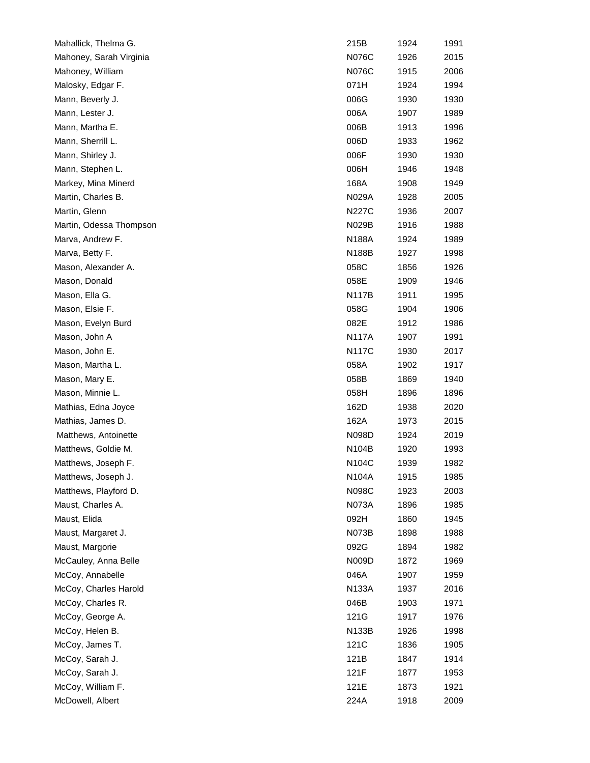| Mahallick, Thelma G.    | 215B         | 1924 | 1991 |
|-------------------------|--------------|------|------|
| Mahoney, Sarah Virginia | N076C        | 1926 | 2015 |
| Mahoney, William        | N076C        | 1915 | 2006 |
| Malosky, Edgar F.       | 071H         | 1924 | 1994 |
| Mann, Beverly J.        | 006G         | 1930 | 1930 |
| Mann, Lester J.         | 006A         | 1907 | 1989 |
| Mann, Martha E.         | 006B         | 1913 | 1996 |
| Mann, Sherrill L.       | 006D         | 1933 | 1962 |
| Mann, Shirley J.        | 006F         | 1930 | 1930 |
| Mann, Stephen L.        | 006H         | 1946 | 1948 |
| Markey, Mina Minerd     | 168A         | 1908 | 1949 |
| Martin, Charles B.      | N029A        | 1928 | 2005 |
| Martin, Glenn           | N227C        | 1936 | 2007 |
| Martin, Odessa Thompson | N029B        | 1916 | 1988 |
| Marva, Andrew F.        | <b>N188A</b> | 1924 | 1989 |
| Marva, Betty F.         | N188B        | 1927 | 1998 |
| Mason, Alexander A.     | 058C         | 1856 | 1926 |
| Mason, Donald           | 058E         | 1909 | 1946 |
| Mason, Ella G.          | <b>N117B</b> | 1911 | 1995 |
| Mason, Elsie F.         | 058G         | 1904 | 1906 |
| Mason, Evelyn Burd      | 082E         | 1912 | 1986 |
| Mason, John A           | <b>N117A</b> | 1907 | 1991 |
| Mason, John E.          | <b>N117C</b> | 1930 | 2017 |
| Mason, Martha L.        | 058A         | 1902 | 1917 |
| Mason, Mary E.          | 058B         | 1869 | 1940 |
| Mason, Minnie L.        | 058H         | 1896 | 1896 |
| Mathias, Edna Joyce     | 162D         | 1938 | 2020 |
| Mathias, James D.       | 162A         | 1973 | 2015 |
| Matthews, Antoinette    | N098D        | 1924 | 2019 |
| Matthews, Goldie M.     | N104B        | 1920 | 1993 |
| Matthews, Joseph F.     | N104C        | 1939 | 1982 |
| Matthews, Joseph J.     | N104A        | 1915 | 1985 |
| Matthews, Playford D.   | N098C        | 1923 | 2003 |
| Maust, Charles A.       | N073A        | 1896 | 1985 |
| Maust, Elida            | 092H         | 1860 | 1945 |
| Maust, Margaret J.      | <b>N073B</b> | 1898 | 1988 |
| Maust, Margorie         | 092G         | 1894 | 1982 |
| McCauley, Anna Belle    | N009D        | 1872 | 1969 |
| McCoy, Annabelle        | 046A         | 1907 | 1959 |
| McCoy, Charles Harold   | <b>N133A</b> | 1937 | 2016 |
| McCoy, Charles R.       | 046B         | 1903 | 1971 |
| McCoy, George A.        | 121G         | 1917 | 1976 |
| McCoy, Helen B.         | N133B        | 1926 | 1998 |
| McCoy, James T.         | 121C         | 1836 | 1905 |
| McCoy, Sarah J.         | 121B         | 1847 | 1914 |
| McCoy, Sarah J.         | 121F         | 1877 | 1953 |
| McCoy, William F.       | 121E         | 1873 | 1921 |
| McDowell, Albert        | 224A         | 1918 | 2009 |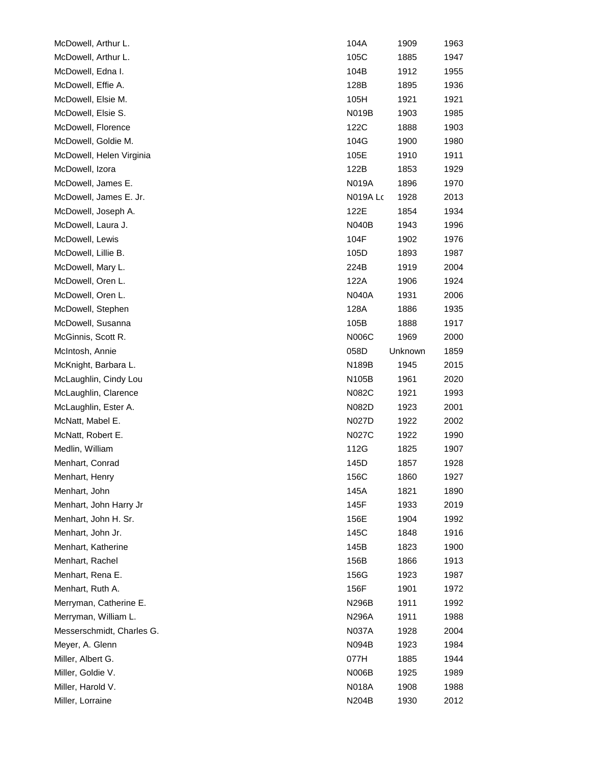| McDowell, Arthur L.       | 104A            | 1909    | 1963 |
|---------------------------|-----------------|---------|------|
| McDowell, Arthur L.       | 105C            | 1885    | 1947 |
| McDowell, Edna I.         | 104B            | 1912    | 1955 |
| McDowell, Effie A.        | 128B            | 1895    | 1936 |
| McDowell, Elsie M.        | 105H            | 1921    | 1921 |
| McDowell, Elsie S.        | <b>N019B</b>    | 1903    | 1985 |
| McDowell, Florence        | 122C            | 1888    | 1903 |
| McDowell, Goldie M.       | 104G            | 1900    | 1980 |
| McDowell, Helen Virginia  | 105E            | 1910    | 1911 |
| McDowell, Izora           | 122B            | 1853    | 1929 |
| McDowell, James E.        | <b>N019A</b>    | 1896    | 1970 |
| McDowell, James E. Jr.    | <b>N019A Lc</b> | 1928    | 2013 |
| McDowell, Joseph A.       | 122E            | 1854    | 1934 |
| McDowell, Laura J.        | <b>N040B</b>    | 1943    | 1996 |
| McDowell, Lewis           | 104F            | 1902    | 1976 |
| McDowell, Lillie B.       | 105D            | 1893    | 1987 |
| McDowell, Mary L.         | 224B            | 1919    | 2004 |
| McDowell, Oren L.         | 122A            | 1906    | 1924 |
| McDowell, Oren L.         | N040A           | 1931    | 2006 |
| McDowell, Stephen         | 128A            | 1886    | 1935 |
| McDowell, Susanna         | 105B            | 1888    | 1917 |
| McGinnis, Scott R.        | N006C           | 1969    | 2000 |
| McIntosh, Annie           | 058D            | Unknown | 1859 |
| McKnight, Barbara L.      | N189B           | 1945    | 2015 |
| McLaughlin, Cindy Lou     | N105B           | 1961    | 2020 |
| McLaughlin, Clarence      | N082C           | 1921    | 1993 |
| McLaughlin, Ester A.      | N082D           | 1923    | 2001 |
| McNatt, Mabel E.          | N027D           | 1922    | 2002 |
| McNatt, Robert E.         | N027C           | 1922    | 1990 |
| Medlin, William           | 112G            | 1825    | 1907 |
| Menhart, Conrad           | 145D            | 1857    | 1928 |
| Menhart, Henry            | 156C            | 1860    | 1927 |
| Menhart, John             | 145A            | 1821    | 1890 |
| Menhart, John Harry Jr    | 145F            | 1933    | 2019 |
| Menhart, John H. Sr.      | 156E            | 1904    | 1992 |
| Menhart, John Jr.         | 145C            | 1848    | 1916 |
| Menhart, Katherine        | 145B            | 1823    | 1900 |
| Menhart, Rachel           | 156B            | 1866    | 1913 |
| Menhart, Rena E.          | 156G            | 1923    | 1987 |
| Menhart, Ruth A.          | 156F            | 1901    | 1972 |
| Merryman, Catherine E.    | N296B           | 1911    | 1992 |
| Merryman, William L.      | N296A           | 1911    | 1988 |
| Messerschmidt, Charles G. | N037A           | 1928    | 2004 |
| Meyer, A. Glenn           | N094B           | 1923    | 1984 |
| Miller, Albert G.         | 077H            | 1885    | 1944 |
| Miller, Goldie V.         | <b>N006B</b>    | 1925    | 1989 |
| Miller, Harold V.         | N018A           | 1908    | 1988 |
| Miller, Lorraine          | N204B           | 1930    | 2012 |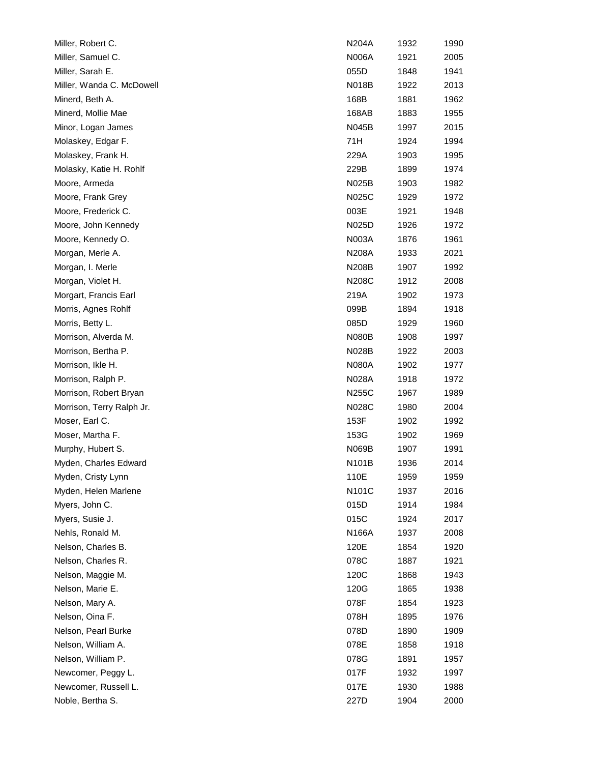| Miller, Robert C.         | N204A              | 1932 | 1990 |
|---------------------------|--------------------|------|------|
| Miller, Samuel C.         | <b>N006A</b>       | 1921 | 2005 |
| Miller, Sarah E.          | 055D               | 1848 | 1941 |
| Miller, Wanda C. McDowell | <b>N018B</b>       | 1922 | 2013 |
| Minerd, Beth A.           | 168B               | 1881 | 1962 |
| Minerd, Mollie Mae        | 168AB              | 1883 | 1955 |
| Minor, Logan James        | N045B              | 1997 | 2015 |
| Molaskey, Edgar F.        | 71H                | 1924 | 1994 |
| Molaskey, Frank H.        | 229A               | 1903 | 1995 |
| Molasky, Katie H. Rohlf   | 229B               | 1899 | 1974 |
| Moore, Armeda             | N025B              | 1903 | 1982 |
| Moore, Frank Grey         | N025C              | 1929 | 1972 |
| Moore, Frederick C.       | 003E               | 1921 | 1948 |
| Moore, John Kennedy       | N025D              | 1926 | 1972 |
| Moore, Kennedy O.         | <b>N003A</b>       | 1876 | 1961 |
| Morgan, Merle A.          | N208A              | 1933 | 2021 |
| Morgan, I. Merle          | N208B              | 1907 | 1992 |
| Morgan, Violet H.         | N208C              | 1912 | 2008 |
| Morgart, Francis Earl     | 219A               | 1902 | 1973 |
| Morris, Agnes Rohlf       | 099B               | 1894 | 1918 |
| Morris, Betty L.          | 085D               | 1929 | 1960 |
| Morrison, Alverda M.      | <b>N080B</b>       | 1908 | 1997 |
| Morrison, Bertha P.       | N028B              | 1922 | 2003 |
| Morrison, Ikle H.         | <b>N080A</b>       | 1902 | 1977 |
| Morrison, Ralph P.        | <b>N028A</b>       | 1918 | 1972 |
| Morrison, Robert Bryan    | N255C              | 1967 | 1989 |
| Morrison, Terry Ralph Jr. | N028C              | 1980 | 2004 |
| Moser, Earl C.            | 153F               | 1902 | 1992 |
| Moser, Martha F.          | 153G               | 1902 | 1969 |
| Murphy, Hubert S.         | N069B              | 1907 | 1991 |
| Myden, Charles Edward     | N <sub>101</sub> B | 1936 | 2014 |
| Myden, Cristy Lynn        | 110E               | 1959 | 1959 |
| Myden, Helen Marlene      | N101C              | 1937 | 2016 |
| Myers, John C.            | 015D               | 1914 | 1984 |
| Myers, Susie J.           | 015C               | 1924 | 2017 |
| Nehls, Ronald M.          | N166A              | 1937 | 2008 |
| Nelson, Charles B.        | 120E               | 1854 | 1920 |
| Nelson, Charles R.        | 078C               | 1887 | 1921 |
| Nelson, Maggie M.         | 120C               | 1868 | 1943 |
| Nelson, Marie E.          | 120G               | 1865 | 1938 |
| Nelson, Mary A.           | 078F               | 1854 | 1923 |
| Nelson, Oina F.           | 078H               | 1895 | 1976 |
| Nelson, Pearl Burke       | 078D               | 1890 | 1909 |
| Nelson, William A.        | 078E               | 1858 | 1918 |
| Nelson, William P.        | 078G               | 1891 | 1957 |
| Newcomer, Peggy L.        | 017F               | 1932 | 1997 |
| Newcomer, Russell L.      | 017E               | 1930 | 1988 |
| Noble, Bertha S.          | 227D               | 1904 | 2000 |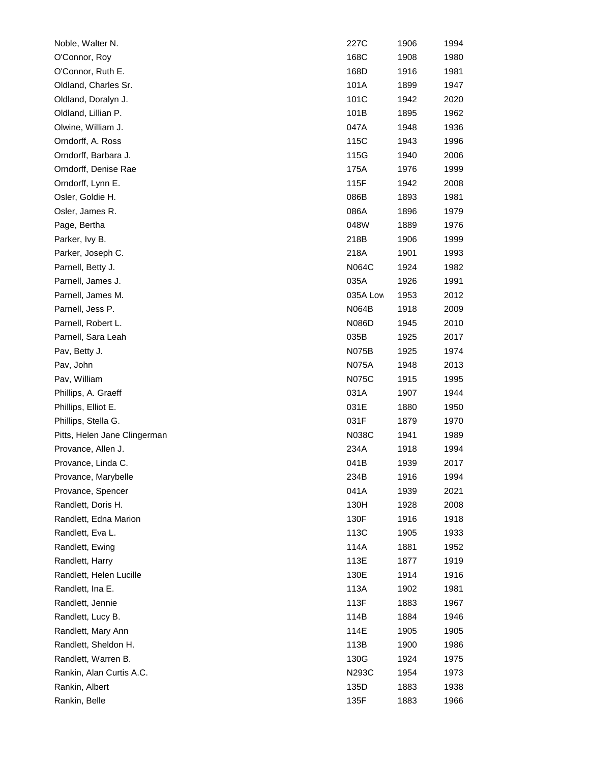| Noble, Walter N.                           | 227C     | 1906         | 1994 |
|--------------------------------------------|----------|--------------|------|
| O'Connor, Roy                              | 168C     | 1908         | 1980 |
| O'Connor, Ruth E.                          | 168D     | 1916         | 1981 |
| Oldland, Charles Sr.                       | 101A     | 1899         | 1947 |
| Oldland, Doralyn J.                        | 101C     | 1942         | 2020 |
| Oldland, Lillian P.                        | 101B     | 1895         | 1962 |
| Olwine, William J.                         | 047A     | 1948         | 1936 |
| Orndorff, A. Ross                          | 115C     | 1943         | 1996 |
| Orndorff, Barbara J.                       | 115G     | 1940         | 2006 |
| Orndorff, Denise Rae                       | 175A     | 1976         | 1999 |
| Orndorff, Lynn E.                          | 115F     | 1942         | 2008 |
| Osler, Goldie H.                           | 086B     | 1893         | 1981 |
| Osler, James R.                            | 086A     | 1896         | 1979 |
| Page, Bertha                               | 048W     | 1889         | 1976 |
| Parker, Ivy B.                             | 218B     | 1906         | 1999 |
| Parker, Joseph C.                          | 218A     | 1901         | 1993 |
| Parnell, Betty J.                          | N064C    | 1924         | 1982 |
| Parnell, James J.                          | 035A     | 1926         | 1991 |
| Parnell, James M.                          | 035A Low | 1953         | 2012 |
| Parnell, Jess P.                           | N064B    | 1918         | 2009 |
| Parnell, Robert L.                         | N086D    | 1945         | 2010 |
| Parnell, Sara Leah                         | 035B     | 1925         | 2017 |
| Pav, Betty J.                              | N075B    | 1925         | 1974 |
| Pav, John                                  | N075A    | 1948         | 2013 |
| Pav, William                               | N075C    | 1915         | 1995 |
| Phillips, A. Graeff                        | 031A     | 1907         | 1944 |
| Phillips, Elliot E.                        | 031E     | 1880         | 1950 |
| Phillips, Stella G.                        | 031F     | 1879         | 1970 |
| Pitts, Helen Jane Clingerman               | N038C    | 1941         | 1989 |
| Provance, Allen J.                         | 234A     | 1918         | 1994 |
| Provance, Linda C.                         | 041B     | 1939         | 2017 |
| Provance, Marybelle                        | 234B     | 1916         | 1994 |
| Provance, Spencer                          | 041A     | 1939         | 2021 |
| Randlett, Doris H.                         | 130H     | 1928         | 2008 |
| Randlett, Edna Marion                      | 130F     | 1916         | 1918 |
| Randlett, Eva L.                           | 113C     | 1905         | 1933 |
| Randlett, Ewing                            | 114A     | 1881         | 1952 |
| Randlett, Harry                            | 113E     | 1877         | 1919 |
| Randlett, Helen Lucille                    | 130E     | 1914         | 1916 |
| Randlett, Ina E.                           | 113A     | 1902         | 1981 |
| Randlett, Jennie                           | 113F     | 1883         | 1967 |
| Randlett, Lucy B.                          | 114B     | 1884         | 1946 |
| Randlett, Mary Ann                         | 114E     | 1905         | 1905 |
| Randlett, Sheldon H.                       | 113B     | 1900         | 1986 |
| Randlett, Warren B.                        | 130G     | 1924         | 1975 |
|                                            | N293C    |              | 1973 |
|                                            |          |              | 1938 |
| Rankin, Belle                              | 135F     | 1883         | 1966 |
| Rankin, Alan Curtis A.C.<br>Rankin, Albert | 135D     | 1954<br>1883 |      |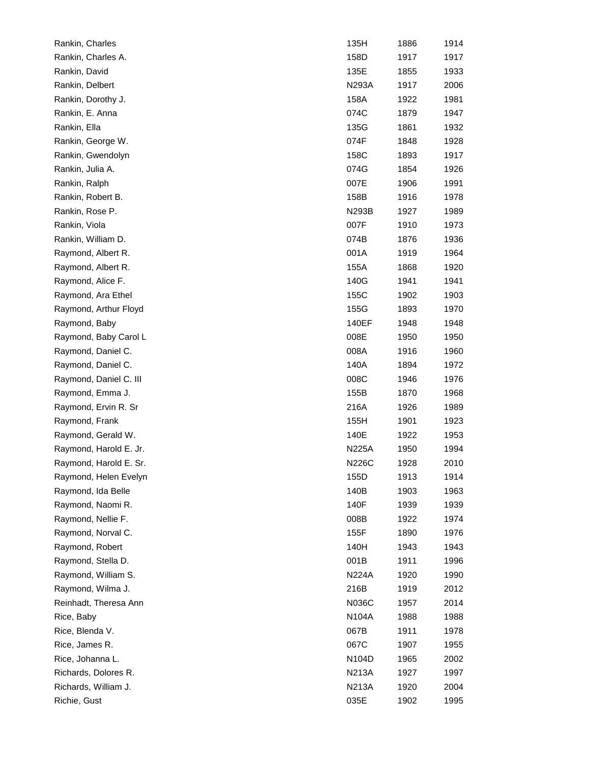| Rankin, Charles        | 135H         | 1886 | 1914 |
|------------------------|--------------|------|------|
| Rankin, Charles A.     | 158D         | 1917 | 1917 |
| Rankin, David          | 135E         | 1855 | 1933 |
| Rankin, Delbert        | N293A        | 1917 | 2006 |
| Rankin, Dorothy J.     | 158A         | 1922 | 1981 |
| Rankin, E. Anna        | 074C         | 1879 | 1947 |
| Rankin, Ella           | 135G         | 1861 | 1932 |
| Rankin, George W.      | 074F         | 1848 | 1928 |
| Rankin, Gwendolyn      | 158C         | 1893 | 1917 |
| Rankin, Julia A.       | 074G         | 1854 | 1926 |
| Rankin, Ralph          | 007E         | 1906 | 1991 |
| Rankin, Robert B.      | 158B         | 1916 | 1978 |
| Rankin, Rose P.        | N293B        | 1927 | 1989 |
| Rankin, Viola          | 007F         | 1910 | 1973 |
| Rankin, William D.     | 074B         | 1876 | 1936 |
| Raymond, Albert R.     | 001A         | 1919 | 1964 |
| Raymond, Albert R.     | 155A         | 1868 | 1920 |
| Raymond, Alice F.      | 140G         | 1941 | 1941 |
| Raymond, Ara Ethel     | 155C         | 1902 | 1903 |
| Raymond, Arthur Floyd  | 155G         | 1893 | 1970 |
| Raymond, Baby          | 140EF        | 1948 | 1948 |
| Raymond, Baby Carol L  | 008E         | 1950 | 1950 |
| Raymond, Daniel C.     | 008A         | 1916 | 1960 |
| Raymond, Daniel C.     | 140A         | 1894 | 1972 |
| Raymond, Daniel C. III | 008C         | 1946 | 1976 |
| Raymond, Emma J.       | 155B         | 1870 | 1968 |
| Raymond, Ervin R. Sr   | 216A         | 1926 | 1989 |
| Raymond, Frank         | 155H         | 1901 | 1923 |
| Raymond, Gerald W.     | 140E         | 1922 | 1953 |
| Raymond, Harold E. Jr. | N225A        | 1950 | 1994 |
| Raymond, Harold E. Sr. | N226C        | 1928 | 2010 |
| Raymond, Helen Evelyn  | 155D         | 1913 | 1914 |
| Raymond, Ida Belle     | 140B         | 1903 | 1963 |
| Raymond, Naomi R.      | 140F         | 1939 | 1939 |
| Raymond, Nellie F.     | 008B         | 1922 | 1974 |
| Raymond, Norval C.     | 155F         | 1890 | 1976 |
| Raymond, Robert        | 140H         | 1943 | 1943 |
| Raymond, Stella D.     | 001B         | 1911 | 1996 |
| Raymond, William S.    | <b>N224A</b> | 1920 | 1990 |
| Raymond, Wilma J.      | 216B         | 1919 | 2012 |
| Reinhadt, Theresa Ann  | N036C        | 1957 | 2014 |
| Rice, Baby             | N104A        | 1988 | 1988 |
| Rice, Blenda V.        | 067B         | 1911 | 1978 |
| Rice, James R.         | 067C         | 1907 | 1955 |
| Rice, Johanna L.       | N104D        | 1965 | 2002 |
| Richards, Dolores R.   | N213A        | 1927 | 1997 |
| Richards, William J.   | N213A        | 1920 | 2004 |
| Richie, Gust           | 035E         | 1902 | 1995 |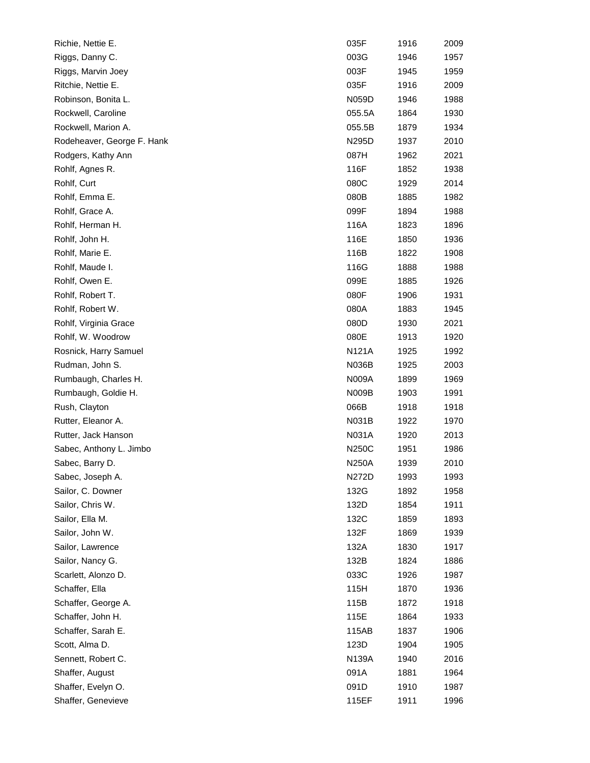| Richie, Nettie E.          | 035F         | 1916 | 2009 |
|----------------------------|--------------|------|------|
| Riggs, Danny C.            | 003G         | 1946 | 1957 |
| Riggs, Marvin Joey         | 003F         | 1945 | 1959 |
| Ritchie, Nettie E.         | 035F         | 1916 | 2009 |
| Robinson, Bonita L.        | N059D        | 1946 | 1988 |
| Rockwell, Caroline         | 055.5A       | 1864 | 1930 |
| Rockwell, Marion A.        | 055.5B       | 1879 | 1934 |
| Rodeheaver, George F. Hank | N295D        | 1937 | 2010 |
| Rodgers, Kathy Ann         | 087H         | 1962 | 2021 |
| Rohlf, Agnes R.            | 116F         | 1852 | 1938 |
| Rohlf, Curt                | 080C         | 1929 | 2014 |
| Rohlf, Emma E.             | 080B         | 1885 | 1982 |
| Rohlf, Grace A.            | 099F         | 1894 | 1988 |
| Rohlf, Herman H.           | 116A         | 1823 | 1896 |
| Rohlf, John H.             | 116E         | 1850 | 1936 |
| Rohlf, Marie E.            | 116B         | 1822 | 1908 |
| Rohlf, Maude I.            | 116G         | 1888 | 1988 |
| Rohlf, Owen E.             | 099E         | 1885 | 1926 |
| Rohlf, Robert T.           | 080F         | 1906 | 1931 |
| Rohlf, Robert W.           | 080A         | 1883 | 1945 |
| Rohlf, Virginia Grace      | 080D         | 1930 | 2021 |
| Rohlf, W. Woodrow          | 080E         | 1913 | 1920 |
| Rosnick, Harry Samuel      | <b>N121A</b> | 1925 | 1992 |
| Rudman, John S.            | N036B        | 1925 | 2003 |
| Rumbaugh, Charles H.       | N009A        | 1899 | 1969 |
| Rumbaugh, Goldie H.        | N009B        | 1903 | 1991 |
| Rush, Clayton              | 066B         | 1918 | 1918 |
| Rutter, Eleanor A.         | N031B        | 1922 | 1970 |
| Rutter, Jack Hanson        | N031A        | 1920 | 2013 |
| Sabec, Anthony L. Jimbo    | <b>N250C</b> | 1951 | 1986 |
| Sabec, Barry D.            | N250A        | 1939 | 2010 |
| Sabec, Joseph A.           | N272D        | 1993 | 1993 |
| Sailor, C. Downer          | 132G         | 1892 | 1958 |
| Sailor, Chris W.           | 132D         | 1854 | 1911 |
| Sailor, Ella M.            | 132C         | 1859 | 1893 |
| Sailor, John W.            | 132F         | 1869 | 1939 |
| Sailor, Lawrence           | 132A         | 1830 | 1917 |
| Sailor, Nancy G.           | 132B         | 1824 | 1886 |
| Scarlett, Alonzo D.        | 033C         | 1926 | 1987 |
| Schaffer, Ella             | 115H         | 1870 | 1936 |
| Schaffer, George A.        | 115B         | 1872 | 1918 |
| Schaffer, John H.          | 115E         | 1864 | 1933 |
| Schaffer, Sarah E.         | 115AB        | 1837 | 1906 |
| Scott, Alma D.             | 123D         | 1904 | 1905 |
| Sennett, Robert C.         | N139A        | 1940 | 2016 |
| Shaffer, August            | 091A         | 1881 | 1964 |
| Shaffer, Evelyn O.         | 091D         | 1910 | 1987 |
| Shaffer, Genevieve         | 115EF        | 1911 | 1996 |
|                            |              |      |      |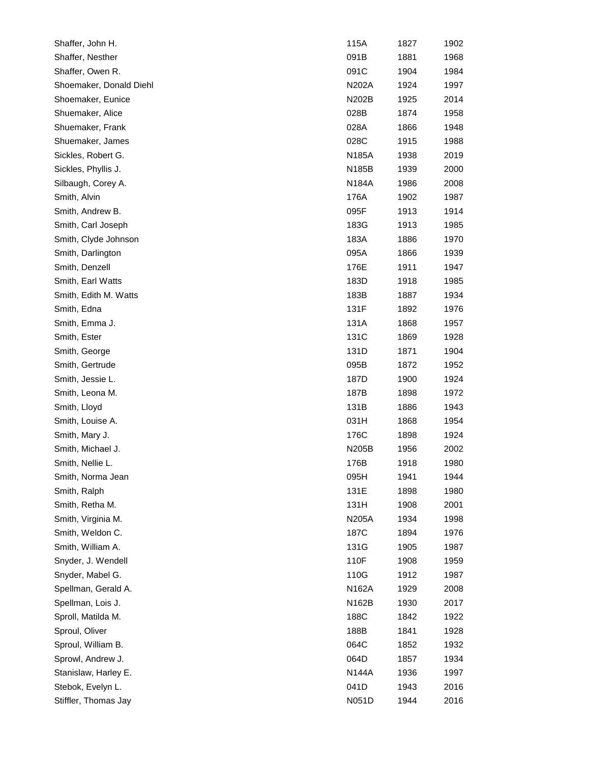| Shaffer, John H.        | 115A         | 1827 | 1902 |
|-------------------------|--------------|------|------|
| Shaffer, Nesther        | 091B         | 1881 | 1968 |
| Shaffer, Owen R.        | 091C         | 1904 | 1984 |
| Shoemaker, Donald Diehl | N202A        | 1924 | 1997 |
| Shoemaker, Eunice       | N202B        | 1925 | 2014 |
| Shuemaker, Alice        | 028B         | 1874 | 1958 |
| Shuemaker, Frank        | 028A         | 1866 | 1948 |
| Shuemaker, James        | 028C         | 1915 | 1988 |
| Sickles, Robert G.      | N185A        | 1938 | 2019 |
| Sickles, Phyllis J.     | N185B        | 1939 | 2000 |
| Silbaugh, Corey A.      | <b>N184A</b> | 1986 | 2008 |
| Smith, Alvin            | 176A         | 1902 | 1987 |
| Smith, Andrew B.        | 095F         | 1913 | 1914 |
| Smith, Carl Joseph      | 183G         | 1913 | 1985 |
| Smith, Clyde Johnson    | 183A         | 1886 | 1970 |
| Smith, Darlington       | 095A         | 1866 | 1939 |
| Smith, Denzell          | 176E         | 1911 | 1947 |
| Smith, Earl Watts       | 183D         | 1918 | 1985 |
| Smith, Edith M. Watts   | 183B         | 1887 | 1934 |
| Smith, Edna             | 131F         | 1892 | 1976 |
| Smith, Emma J.          | 131A         | 1868 | 1957 |
| Smith, Ester            | 131C         | 1869 | 1928 |
| Smith, George           | 131D         | 1871 | 1904 |
| Smith, Gertrude         | 095B         | 1872 | 1952 |
| Smith, Jessie L.        | 187D         | 1900 | 1924 |
| Smith, Leona M.         | 187B         | 1898 | 1972 |
| Smith, Lloyd            | 131B         | 1886 | 1943 |
| Smith, Louise A.        | 031H         | 1868 | 1954 |
| Smith, Mary J.          | 176C         | 1898 | 1924 |
| Smith, Michael J.       | N205B        | 1956 | 2002 |
| Smith, Nellie L.        | 176B         | 1918 | 1980 |
| Smith, Norma Jean       | 095H         | 1941 | 1944 |
| Smith, Ralph            | 131E         | 1898 | 1980 |
| Smith, Retha M.         | 131H         | 1908 | 2001 |
| Smith, Virginia M.      | N205A        | 1934 | 1998 |
| Smith, Weldon C.        | 187C         | 1894 | 1976 |
| Smith, William A.       | 131G         | 1905 | 1987 |
| Snyder, J. Wendell      | 110F         | 1908 | 1959 |
| Snyder, Mabel G.        | 110G         | 1912 | 1987 |
| Spellman, Gerald A.     | N162A        | 1929 | 2008 |
| Spellman, Lois J.       | N162B        | 1930 | 2017 |
| Sproll, Matilda M.      | 188C         | 1842 | 1922 |
| Sproul, Oliver          | 188B         | 1841 | 1928 |
| Sproul, William B.      | 064C         | 1852 | 1932 |
| Sprowl, Andrew J.       | 064D         | 1857 | 1934 |
| Stanislaw, Harley E.    | N144A        | 1936 | 1997 |
| Stebok, Evelyn L.       | 041D         | 1943 | 2016 |
| Stiffler, Thomas Jay    | N051D        | 1944 | 2016 |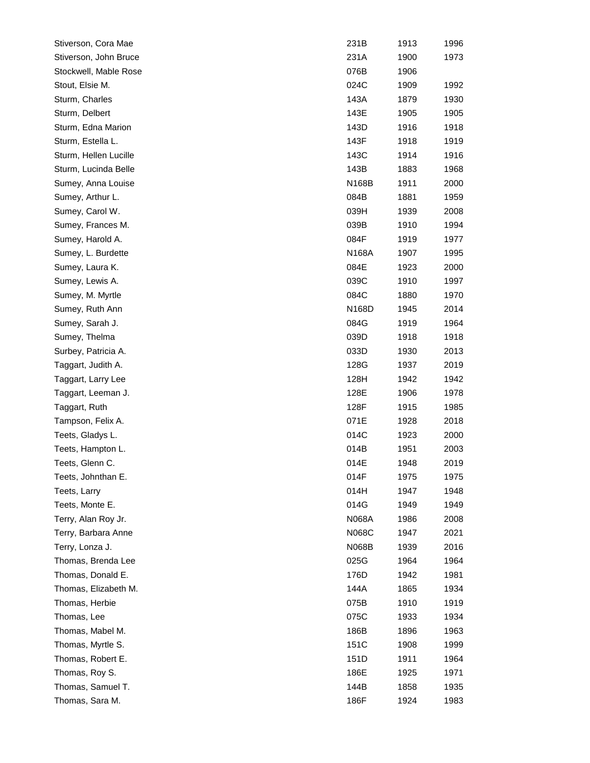| Stiverson, Cora Mae   | 231B               | 1913 | 1996 |
|-----------------------|--------------------|------|------|
| Stiverson, John Bruce | 231A               | 1900 | 1973 |
| Stockwell, Mable Rose | 076B               | 1906 |      |
| Stout, Elsie M.       | 024C               | 1909 | 1992 |
| Sturm, Charles        | 143A               | 1879 | 1930 |
| Sturm, Delbert        | 143E               | 1905 | 1905 |
| Sturm, Edna Marion    | 143D               | 1916 | 1918 |
| Sturm, Estella L.     | 143F               | 1918 | 1919 |
| Sturm, Hellen Lucille | 143C               | 1914 | 1916 |
| Sturm, Lucinda Belle  | 143B               | 1883 | 1968 |
| Sumey, Anna Louise    | N168B              | 1911 | 2000 |
| Sumey, Arthur L.      | 084B               | 1881 | 1959 |
| Sumey, Carol W.       | 039H               | 1939 | 2008 |
| Sumey, Frances M.     | 039B               | 1910 | 1994 |
| Sumey, Harold A.      | 084F               | 1919 | 1977 |
| Sumey, L. Burdette    | N168A              | 1907 | 1995 |
| Sumey, Laura K.       | 084E               | 1923 | 2000 |
| Sumey, Lewis A.       | 039C               | 1910 | 1997 |
| Sumey, M. Myrtle      | 084C               | 1880 | 1970 |
| Sumey, Ruth Ann       | N <sub>168</sub> D | 1945 | 2014 |
| Sumey, Sarah J.       | 084G               | 1919 | 1964 |
| Sumey, Thelma         | 039D               | 1918 | 1918 |
| Surbey, Patricia A.   | 033D               | 1930 | 2013 |
| Taggart, Judith A.    | 128G               | 1937 | 2019 |
| Taggart, Larry Lee    | 128H               | 1942 | 1942 |
| Taggart, Leeman J.    | 128E               | 1906 | 1978 |
| Taggart, Ruth         | 128F               | 1915 | 1985 |
| Tampson, Felix A.     | 071E               | 1928 | 2018 |
| Teets, Gladys L.      | 014C               | 1923 | 2000 |
| Teets, Hampton L.     | 014B               | 1951 | 2003 |
| Teets, Glenn C.       | 014E               | 1948 | 2019 |
| Teets, Johnthan E.    | 014F               | 1975 | 1975 |
| Teets, Larry          | 014H               | 1947 | 1948 |
| Teets, Monte E.       | 014G               | 1949 | 1949 |
| Terry, Alan Roy Jr.   | N068A              | 1986 | 2008 |
| Terry, Barbara Anne   | N068C              | 1947 | 2021 |
| Terry, Lonza J.       | <b>N068B</b>       | 1939 | 2016 |
| Thomas, Brenda Lee    | 025G               | 1964 | 1964 |
| Thomas, Donald E.     | 176D               | 1942 | 1981 |
| Thomas, Elizabeth M.  | 144A               | 1865 | 1934 |
| Thomas, Herbie        | 075B               | 1910 | 1919 |
| Thomas, Lee           | 075C               | 1933 | 1934 |
| Thomas, Mabel M.      | 186B               | 1896 | 1963 |
| Thomas, Myrtle S.     | 151C               | 1908 | 1999 |
| Thomas, Robert E.     | 151D               | 1911 | 1964 |
| Thomas, Roy S.        | 186E               | 1925 | 1971 |
| Thomas, Samuel T.     | 144B               | 1858 | 1935 |
| Thomas, Sara M.       | 186F               | 1924 | 1983 |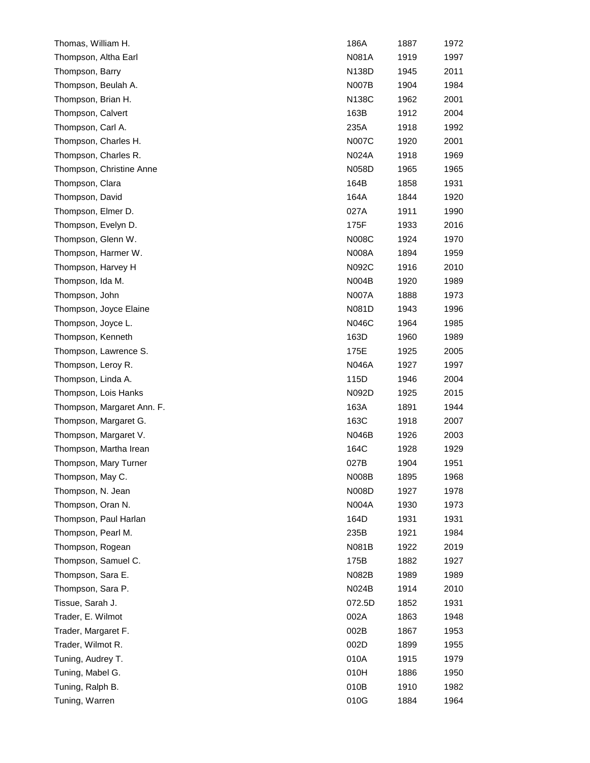| Thomas, William H.         | 186A         | 1887 | 1972 |
|----------------------------|--------------|------|------|
| Thompson, Altha Earl       | N081A        | 1919 | 1997 |
| Thompson, Barry            | N138D        | 1945 | 2011 |
| Thompson, Beulah A.        | <b>N007B</b> | 1904 | 1984 |
| Thompson, Brian H.         | N138C        | 1962 | 2001 |
| Thompson, Calvert          | 163B         | 1912 | 2004 |
| Thompson, Carl A.          | 235A         | 1918 | 1992 |
| Thompson, Charles H.       | <b>N007C</b> | 1920 | 2001 |
| Thompson, Charles R.       | N024A        | 1918 | 1969 |
| Thompson, Christine Anne   | N058D        | 1965 | 1965 |
| Thompson, Clara            | 164B         | 1858 | 1931 |
| Thompson, David            | 164A         | 1844 | 1920 |
| Thompson, Elmer D.         | 027A         | 1911 | 1990 |
| Thompson, Evelyn D.        | 175F         | 1933 | 2016 |
| Thompson, Glenn W.         | <b>N008C</b> | 1924 | 1970 |
| Thompson, Harmer W.        | N008A        | 1894 | 1959 |
| Thompson, Harvey H         | N092C        | 1916 | 2010 |
| Thompson, Ida M.           | <b>N004B</b> | 1920 | 1989 |
| Thompson, John             | <b>N007A</b> | 1888 | 1973 |
| Thompson, Joyce Elaine     | N081D        | 1943 | 1996 |
| Thompson, Joyce L.         | N046C        | 1964 | 1985 |
| Thompson, Kenneth          | 163D         | 1960 | 1989 |
| Thompson, Lawrence S.      | 175E         | 1925 | 2005 |
| Thompson, Leroy R.         | N046A        | 1927 | 1997 |
| Thompson, Linda A.         | 115D         | 1946 | 2004 |
| Thompson, Lois Hanks       | N092D        | 1925 | 2015 |
| Thompson, Margaret Ann. F. | 163A         | 1891 | 1944 |
| Thompson, Margaret G.      | 163C         | 1918 | 2007 |
| Thompson, Margaret V.      | N046B        | 1926 | 2003 |
| Thompson, Martha Irean     | 164C         | 1928 | 1929 |
| Thompson, Mary Turner      | 027B         | 1904 | 1951 |
| Thompson, May C.           | N008B        | 1895 | 1968 |
| Thompson, N. Jean          | N008D        | 1927 | 1978 |
| Thompson, Oran N.          | N004A        | 1930 | 1973 |
| Thompson, Paul Harlan      | 164D         | 1931 | 1931 |
| Thompson, Pearl M.         | 235B         | 1921 | 1984 |
| Thompson, Rogean           | N081B        | 1922 | 2019 |
| Thompson, Samuel C.        | 175B         | 1882 | 1927 |
| Thompson, Sara E.          | N082B        | 1989 | 1989 |
| Thompson, Sara P.          | N024B        | 1914 | 2010 |
| Tissue, Sarah J.           | 072.5D       | 1852 | 1931 |
| Trader, E. Wilmot          | 002A         | 1863 | 1948 |
| Trader, Margaret F.        | 002B         | 1867 | 1953 |
| Trader, Wilmot R.          | 002D         | 1899 | 1955 |
| Tuning, Audrey T.          | 010A         | 1915 | 1979 |
| Tuning, Mabel G.           | 010H         | 1886 | 1950 |
| Tuning, Ralph B.           | 010B         | 1910 | 1982 |
| Tuning, Warren             | 010G         | 1884 | 1964 |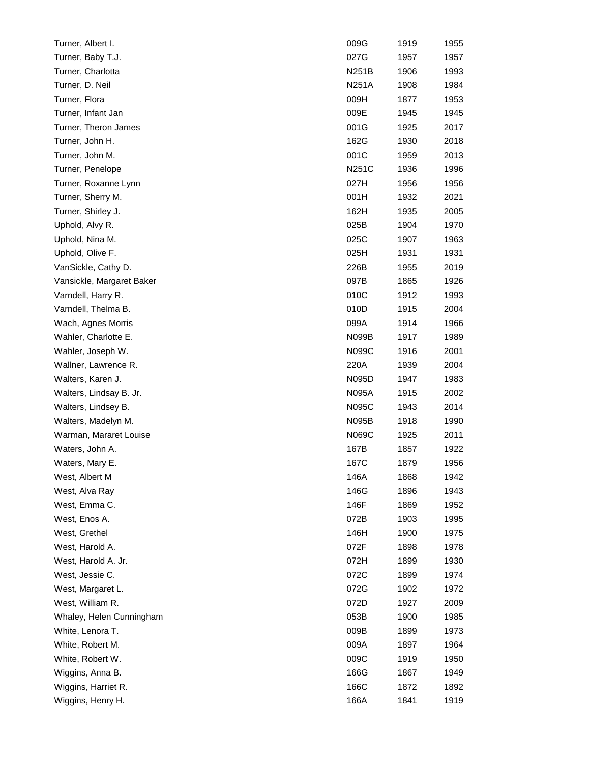| Turner, Albert I.         | 009G         | 1919 | 1955 |
|---------------------------|--------------|------|------|
| Turner, Baby T.J.         | 027G         | 1957 | 1957 |
| Turner, Charlotta         | N251B        | 1906 | 1993 |
| Turner, D. Neil           | N251A        | 1908 | 1984 |
| Turner, Flora             | 009H         | 1877 | 1953 |
| Turner, Infant Jan        | 009E         | 1945 | 1945 |
| Turner, Theron James      | 001G         | 1925 | 2017 |
| Turner, John H.           | 162G         | 1930 | 2018 |
| Turner, John M.           | 001C         | 1959 | 2013 |
| Turner, Penelope          | <b>N251C</b> | 1936 | 1996 |
| Turner, Roxanne Lynn      | 027H         | 1956 | 1956 |
| Turner, Sherry M.         | 001H         | 1932 | 2021 |
| Turner, Shirley J.        | 162H         | 1935 | 2005 |
| Uphold, Alvy R.           | 025B         | 1904 | 1970 |
| Uphold, Nina M.           | 025C         | 1907 | 1963 |
| Uphold, Olive F.          | 025H         | 1931 | 1931 |
| VanSickle, Cathy D.       | 226B         | 1955 | 2019 |
| Vansickle, Margaret Baker | 097B         | 1865 | 1926 |
| Varndell, Harry R.        | 010C         | 1912 | 1993 |
| Varndell, Thelma B.       | 010D         | 1915 | 2004 |
| Wach, Agnes Morris        | 099A         | 1914 | 1966 |
| Wahler, Charlotte E.      | N099B        | 1917 | 1989 |
| Wahler, Joseph W.         | N099C        | 1916 | 2001 |
| Wallner, Lawrence R.      | 220A         | 1939 | 2004 |
| Walters, Karen J.         | N095D        | 1947 | 1983 |
| Walters, Lindsay B. Jr.   | N095A        | 1915 | 2002 |
| Walters, Lindsey B.       | N095C        | 1943 | 2014 |
| Walters, Madelyn M.       | N095B        | 1918 | 1990 |
| Warman, Mararet Louise    | N069C        | 1925 | 2011 |
| Waters, John A.           | 167B         | 1857 | 1922 |
| Waters, Mary E.           | 167C         | 1879 | 1956 |
| West, Albert M            | 146A         | 1868 | 1942 |
| West, Alva Ray            | 146G         | 1896 | 1943 |
| West, Emma C.             | 146F         | 1869 | 1952 |
| West, Enos A.             | 072B         | 1903 | 1995 |
| West, Grethel             | 146H         | 1900 | 1975 |
| West, Harold A.           | 072F         | 1898 | 1978 |
| West, Harold A. Jr.       | 072H         | 1899 | 1930 |
| West, Jessie C.           | 072C         | 1899 | 1974 |
| West, Margaret L.         | 072G         | 1902 | 1972 |
| West, William R.          | 072D         | 1927 | 2009 |
| Whaley, Helen Cunningham  | 053B         | 1900 | 1985 |
| White, Lenora T.          | 009B         | 1899 | 1973 |
| White, Robert M.          | 009A         | 1897 | 1964 |
| White, Robert W.          | 009C         | 1919 | 1950 |
| Wiggins, Anna B.          | 166G         | 1867 | 1949 |
| Wiggins, Harriet R.       | 166C         | 1872 | 1892 |
| Wiggins, Henry H.         | 166A         | 1841 | 1919 |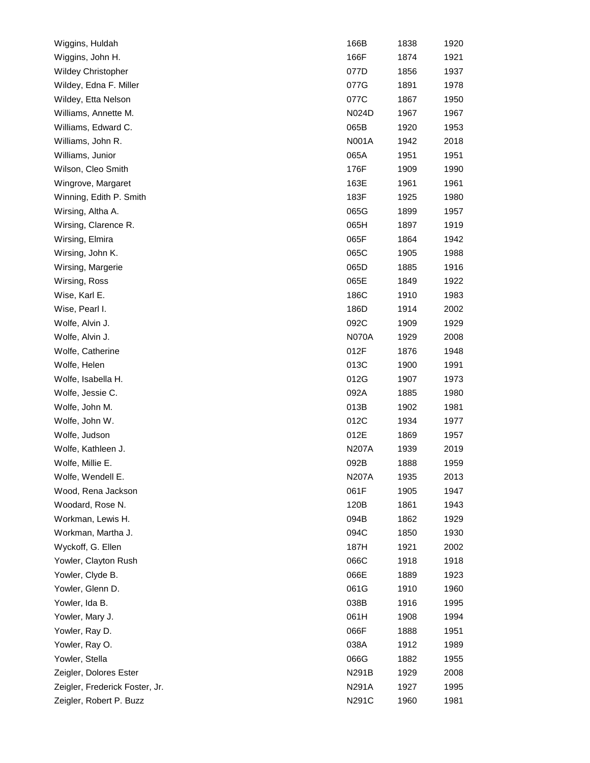| Wiggins, Huldah                | 166B         | 1838 | 1920 |
|--------------------------------|--------------|------|------|
| Wiggins, John H.               | 166F         | 1874 | 1921 |
| <b>Wildey Christopher</b>      | 077D         | 1856 | 1937 |
| Wildey, Edna F. Miller         | 077G         | 1891 | 1978 |
| Wildey, Etta Nelson            | 077C         | 1867 | 1950 |
| Williams, Annette M.           | N024D        | 1967 | 1967 |
| Williams, Edward C.            | 065B         | 1920 | 1953 |
| Williams, John R.              | N001A        | 1942 | 2018 |
| Williams, Junior               | 065A         | 1951 | 1951 |
| Wilson, Cleo Smith             | 176F         | 1909 | 1990 |
| Wingrove, Margaret             | 163E         | 1961 | 1961 |
| Winning, Edith P. Smith        | 183F         | 1925 | 1980 |
| Wirsing, Altha A.              | 065G         | 1899 | 1957 |
| Wirsing, Clarence R.           | 065H         | 1897 | 1919 |
| Wirsing, Elmira                | 065F         | 1864 | 1942 |
| Wirsing, John K.               | 065C         | 1905 | 1988 |
| Wirsing, Margerie              | 065D         | 1885 | 1916 |
| Wirsing, Ross                  | 065E         | 1849 | 1922 |
| Wise, Karl E.                  | 186C         | 1910 | 1983 |
| Wise, Pearl I.                 | 186D         | 1914 | 2002 |
| Wolfe, Alvin J.                | 092C         | 1909 | 1929 |
| Wolfe, Alvin J.                | <b>N070A</b> | 1929 | 2008 |
| Wolfe, Catherine               | 012F         | 1876 | 1948 |
| Wolfe, Helen                   | 013C         | 1900 | 1991 |
| Wolfe, Isabella H.             | 012G         | 1907 | 1973 |
| Wolfe, Jessie C.               | 092A         | 1885 | 1980 |
| Wolfe, John M.                 | 013B         | 1902 | 1981 |
| Wolfe, John W.                 | 012C         | 1934 | 1977 |
| Wolfe, Judson                  | 012E         | 1869 | 1957 |
| Wolfe, Kathleen J.             | <b>N207A</b> | 1939 | 2019 |
| Wolfe, Millie E.               | 092B         | 1888 | 1959 |
| Wolfe, Wendell E.              | N207A        | 1935 | 2013 |
| Wood, Rena Jackson             | 061F         | 1905 | 1947 |
| Woodard, Rose N.               | 120B         | 1861 | 1943 |
| Workman, Lewis H.              | 094B         | 1862 | 1929 |
| Workman, Martha J.             | 094C         | 1850 | 1930 |
| Wyckoff, G. Ellen              | 187H         | 1921 | 2002 |
| Yowler, Clayton Rush           | 066C         | 1918 | 1918 |
| Yowler, Clyde B.               | 066E         | 1889 | 1923 |
| Yowler, Glenn D.               | 061G         | 1910 | 1960 |
| Yowler, Ida B.                 | 038B         | 1916 | 1995 |
| Yowler, Mary J.                | 061H         | 1908 | 1994 |
| Yowler, Ray D.                 | 066F         | 1888 | 1951 |
| Yowler, Ray O.                 | 038A         | 1912 | 1989 |
| Yowler, Stella                 | 066G         | 1882 | 1955 |
| Zeigler, Dolores Ester         | N291B        | 1929 | 2008 |
| Zeigler, Frederick Foster, Jr. | N291A        | 1927 | 1995 |
| Zeigler, Robert P. Buzz        | N291C        | 1960 | 1981 |